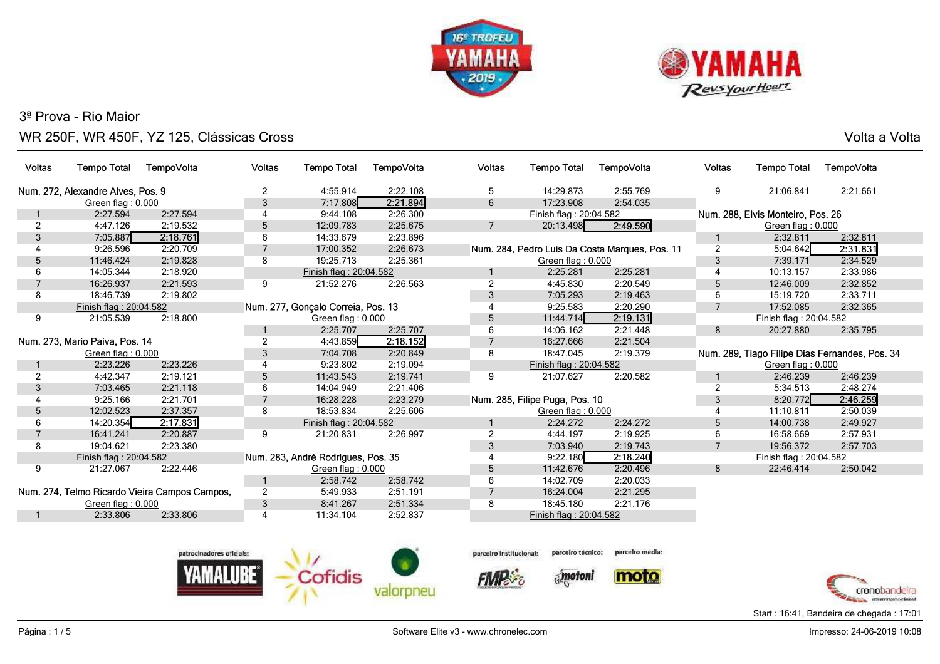



s and the state of the state of the state of the state of the state of the state  $\sim$  Volta a Volta  $\sim$ 

| <b>Voltas</b>                  | <b>Tempo Total</b>                | TempoVolta                                    | <b>Voltas</b>  | <b>Tempo Total</b>                 | TempoVolta     | Voltas         | <b>Tempo Total</b>             | TempoVolta                                     | <b>Voltas</b>  | <b>Tempo Total</b>                             | TempoVolta |  |
|--------------------------------|-----------------------------------|-----------------------------------------------|----------------|------------------------------------|----------------|----------------|--------------------------------|------------------------------------------------|----------------|------------------------------------------------|------------|--|
|                                | Num. 272, Alexandre Alves, Pos. 9 |                                               | $\overline{2}$ | 4:55.914                           | 2:22.108       | 5              | 14:29.873                      | 2:55.769                                       | 9              | 21:06.841                                      | 2:21.661   |  |
|                                | Green flag: 0.000                 |                                               | 3              | 7:17.808                           | 2:21.894       | 6              | 17:23.908                      | 2:54.035                                       |                |                                                |            |  |
|                                | 2:27.594<br>2:27.594              |                                               | 4              | 9:44.108                           | 2:26.300       |                | Finish flag: 20:04.582         |                                                |                | Num. 288, Elvis Monteiro, Pos. 26              |            |  |
| 2                              | 4:47.126                          | 2:19.532                                      | 5              | 12:09.783                          | 2:25.675       | $\overline{7}$ | 2:49.590<br>20:13.498          |                                                |                | Green flag: 0.000                              |            |  |
| 3                              | 7:05.887                          | 2:18.761                                      | 6              | 14:33.679                          | 2:23.896       |                |                                |                                                |                | 2:32.811                                       | 2:32.811   |  |
|                                | 9:26.596                          | 2:20.709                                      |                | 17:00.352                          | 2:26.673       |                |                                | Num. 284, Pedro Luis Da Costa Marques, Pos. 11 | $\overline{2}$ | 5:04.642                                       | 2:31.831   |  |
| 5                              | 11:46.424                         | 2:19.828                                      | 8              | 19:25.713                          | 2:25.361       |                | Green flag: 0.000              |                                                | 3              | 7:39.171                                       | 2:34.529   |  |
| 6                              | 14:05.344                         | 2:18.920                                      |                | Finish flag: 20:04.582             |                |                | 2:25.281                       | 2:25.281                                       | $\overline{4}$ | 10:13.157                                      | 2:33.986   |  |
|                                | 16:26.937                         | 2:21.593                                      | 9              | 21:52.276                          | 2:26.563       | $\overline{2}$ | 4:45.830                       | 2:20.549                                       | 5              | 12:46.009                                      | 2:32.852   |  |
| 8                              | 18:46.739                         | 2:19.802                                      |                |                                    |                | 3              | 7:05.293                       | 2:19.463                                       | 6              | 15:19.720                                      | 2:33.711   |  |
|                                | Finish flag: 20:04.582            |                                               |                | Num. 277, Gonçalo Correia, Pos. 13 |                |                | 9:25.583                       | 2:20.290                                       | $\overline{7}$ | 17:52.085                                      | 2:32.365   |  |
| 9                              | 2:18.800<br>21:05.539             |                                               |                | Green flag: $0.000$                |                | 5              | 11:44.714                      | 2:19.131                                       |                | Finish flag: 20:04.582                         |            |  |
|                                |                                   |                                               |                | 2:25.707                           | 2:25.707       | 6              | 14:06.162                      | 2:21.448                                       | 8              | 20:27.880                                      | 2:35.795   |  |
| Num. 273, Mario Paiva, Pos. 14 |                                   | $\overline{2}$                                | 4:43.859       | 2:18.152                           | $\overline{7}$ | 16:27.666      | 2:21.504                       |                                                |                |                                                |            |  |
| Green flag: 0.000              |                                   | 3                                             | 7:04.708       | 2:20.849                           | 8              | 18:47.045      | 2:19.379                       |                                                |                | Num. 289, Tiago Filipe Dias Fernandes, Pos. 34 |            |  |
|                                | 2:23.226                          | 2:23.226                                      | 4              | 9:23.802                           | 2:19.094       |                | Finish flag: 20:04.582         |                                                |                | Green flag: 0.000                              |            |  |
| 2                              | 4:42.347                          | 2:19.121                                      | 5              | 11:43.543                          | 2:19.741       | 9              | 21:07.627                      | 2:20.582                                       |                | 2:46.239                                       | 2:46.239   |  |
| 3                              | 7:03.465                          | 2:21.118                                      | 6              | 14:04.949                          | 2:21.406       |                |                                |                                                | $\overline{2}$ | 5:34.513                                       | 2:48.274   |  |
|                                | 9:25.166                          | 2:21.701                                      |                | 16:28.228                          | 2:23.279       |                | Num. 285, Filipe Puga, Pos. 10 |                                                | 3              | 8:20.772                                       | 2:46.259   |  |
| 5                              | 12:02.523                         | 2:37.357                                      | 8              | 18:53.834                          | 2:25.606       |                | Green flag: 0.000              |                                                |                | 11:10.811                                      | 2:50.039   |  |
| 6                              | 14:20.354                         | 2:17.831                                      |                | Finish flag: 20:04.582             |                |                | 2:24.272                       | 2:24.272                                       | 5              | 14:00.738                                      | 2:49.927   |  |
|                                | 16:41.241                         | 2:20.887                                      | 9              | 21:20.831                          | 2:26.997       | 2              | 4:44.197                       | 2:19.925                                       | 6              | 16:58.669                                      | 2:57.931   |  |
| 8                              | 19:04.621                         | 2:23.380                                      |                |                                    |                | 3              | 7:03.940                       | 2:19.743                                       | $\overline{7}$ | 19:56.372                                      | 2:57.703   |  |
|                                | Finish flag: 20:04.582            |                                               |                | Num. 283, André Rodrigues, Pos. 35 |                |                | 9:22.180                       | 2:18.240                                       |                | Finish flag: 20:04.582                         |            |  |
| 9                              | 21:27.067                         | 2:22.446                                      |                | Green flag: 0.000                  |                | 5              | 11:42.676                      | 2:20.496                                       | 8              | 22:46.414                                      | 2:50.042   |  |
|                                |                                   |                                               |                | 2:58.742                           | 2:58.742       | 6              | 14:02.709                      | 2:20.033                                       |                |                                                |            |  |
|                                |                                   | Num. 274, Telmo Ricardo Vieira Campos Campos, | $\overline{c}$ | 5:49.933                           | 2:51.191       |                | 16:24.004                      | 2:21.295                                       |                |                                                |            |  |
|                                | Green flag: 0.000                 |                                               | $\mathfrak{S}$ | 8:41.267                           | 2:51.334       | 8              | 18:45.180                      | 2:21.176                                       |                |                                                |            |  |
| -1                             | 2:33.806                          | 2:33.806                                      | 4              | 11:34.104                          | 2:52.837       |                | Finish flag: 20:04.582         |                                                |                |                                                |            |  |
|                                |                                   |                                               |                |                                    |                |                |                                |                                                |                |                                                |            |  |



parceiro técnico: parceiro Institucional:

**FIMP** 



parcelro media: moto

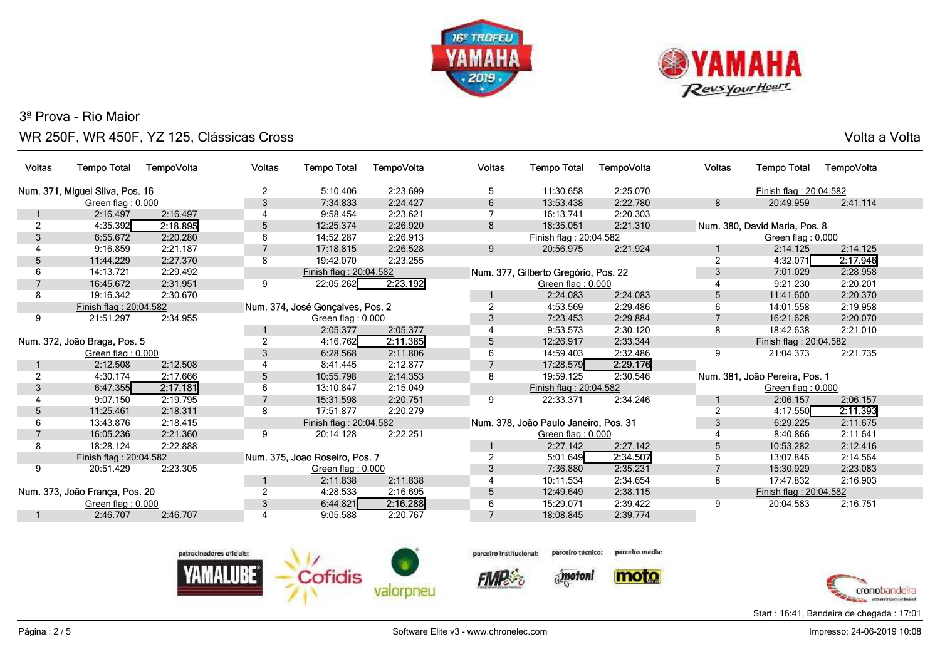



s and the state of the state of the state of the state of the state of the state  $\sim$  Volta a Volta  $\sim$ 

| Voltas                       | <b>Tempo Total</b>              | TempoVolta | Voltas                           | <b>Tempo Total</b>             | TempoVolta | Voltas    | <b>Tempo Total</b>                    | TempoVolta             | Voltas            | <b>Tempo Total</b>             | TempoVolta |
|------------------------------|---------------------------------|------------|----------------------------------|--------------------------------|------------|-----------|---------------------------------------|------------------------|-------------------|--------------------------------|------------|
|                              | Num. 371, Miguel Silva, Pos. 16 |            | $\overline{2}$                   | 5:10.406                       | 2:23.699   | 5         | 11:30.658                             | 2:25.070               |                   | Finish flag: 20:04.582         |            |
|                              | Green flag: 0.000               |            | 3                                | 7:34.833                       | 2:24.427   | 6         | 13:53.438                             | 2:22.780               | 8                 | 20:49.959                      | 2:41.114   |
|                              | 2:16.497                        | 2:16.497   |                                  | 9:58.454                       | 2:23.621   |           | 16:13.741                             | 2:20.303               |                   |                                |            |
| 2                            | 4:35.392                        | 2:18.895   | 5                                | 12:25.374                      | 2:26.920   | 8         | 18:35.051                             | 2:21.310               |                   | Num. 380, David Maria, Pos. 8  |            |
| 3                            | 6:55.672                        | 2:20.280   | 6                                | 14:52.287                      | 2:26.913   |           | Finish flag: 20:04.582                |                        |                   | Green flag: 0.000              |            |
|                              | 9:16.859                        | 2:21.187   | $\overline{7}$                   | 17:18.815                      | 2:26.528   | 9         | 20:56.975                             | 2:21.924               |                   | 2:14.125                       | 2:14.125   |
| 5                            | 11:44.229                       | 2:27.370   | 8                                | 19:42.070                      | 2:23.255   |           |                                       |                        | 2                 | 4:32.071                       | 2:17.946   |
| 6                            | 14:13.721                       | 2:29.492   |                                  | Finish flag: 20:04.582         |            |           | Num. 377, Gilberto Gregório, Pos. 22  |                        | 3                 | 7:01.029                       | 2:28.958   |
|                              | 16:45.672                       | 2:31.951   | 9                                | 22:05.262                      | 2:23.192   |           | Green flag: 0.000                     |                        |                   | 9:21.230                       | 2:20.201   |
| 8                            | 19:16.342                       | 2:30.670   |                                  |                                |            |           | 2:24.083                              | 2:24.083               | 5                 | 11:41.600                      | 2:20.370   |
| Finish flag: 20:04.582       |                                 |            | Num. 374, José Gonçalves, Pos. 2 |                                |            | 4:53.569  | 2:29.486                              | 6                      | 14:01.558         | 2:19.958                       |            |
| 9                            | 21:51.297                       | 2:34.955   |                                  | Green flag: 0.000              |            |           | 7:23.453                              | 2:29.884               |                   | 16:21.628                      | 2:20.070   |
|                              |                                 |            |                                  | 2:05.377                       | 2:05.377   |           | 9:53.573                              | 2:30.120               | 8                 | 18:42.638                      | 2:21.010   |
| Num. 372, João Braga, Pos. 5 |                                 | 2          | 4:16.762                         | 2:11.385                       | 5          | 12:26.917 | 2:33.344                              | Finish flag: 20:04.582 |                   |                                |            |
| Green flag: 0.000            |                                 | 3          | 6:28.568                         | 2:11.806                       | 6          | 14:59.403 | 2:32.486                              | 9                      | 21:04.373         | 2:21.735                       |            |
|                              | 2:12.508                        | 2:12.508   |                                  | 8:41.445                       | 2:12.877   |           | 17:28.579                             | 2:29.176               |                   |                                |            |
|                              | 4:30.174                        | 2:17.666   | 5                                | 10:55.798                      | 2:14.353   | 8         | 19:59.125                             | 2:30.546               |                   | Num. 381, João Pereira, Pos. 1 |            |
| 3                            | 6:47.355                        | 2:17.181   | 6                                | 13:10.847                      | 2:15.049   |           | Finish flag: 20:04.582                |                        | Green flag: 0.000 |                                |            |
|                              | 9:07.150                        | 2:19.795   |                                  | 15:31.598                      | 2:20.751   | 9         | 22:33.371                             | 2:34.246               |                   | 2:06.157                       | 2:06.157   |
| 5                            | 11:25.461                       | 2:18.311   | 8                                | 17:51.877                      | 2:20.279   |           |                                       |                        | 2                 | 4:17.550                       | 2:11.393   |
| 6                            | 13:43.876                       | 2:18.415   |                                  | Finish flag: 20:04.582         |            |           | Num. 378, João Paulo Janeiro, Pos. 31 |                        | 3                 | 6:29.225                       | 2:11.675   |
|                              | 16:05.236                       | 2:21.360   | 9                                | 20:14.128                      | 2:22.251   |           | Green flag: 0.000                     |                        |                   | 8:40.866                       | 2:11.641   |
| 8                            | 18:28.124                       | 2:22.888   |                                  |                                |            |           | 2:27.142                              | 2:27.142               | 5                 | 10:53.282                      | 2:12.416   |
|                              | Finish flag: 20:04.582          |            |                                  | Num. 375, Joao Roseiro, Pos. 7 |            |           | 5:01.649                              | 2:34.507               | 6                 | 13:07.846                      | 2:14.564   |
| 9                            | 20:51.429                       | 2:23.305   |                                  | Green flag: 0.000              |            | 3         | 7:36.880                              | 2:35.231               | 7                 | 15:30.929                      | 2:23.083   |
|                              |                                 |            |                                  | 2:11.838                       | 2:11.838   |           | 10:11.534                             | 2:34.654               | 8                 | 17:47.832                      | 2:16.903   |
|                              | Num. 373, João França, Pos. 20  |            | $\overline{2}$                   | 4:28.533                       | 2:16.695   | 5         | 12:49.649                             | 2:38.115               |                   | Finish flag: 20:04.582         |            |
|                              | Green flag: 0.000               |            | 3                                | 6:44.821                       | 2:16.288   | 6         | 15:29.071                             | 2:39.422               | 9                 | 20:04.583                      | 2:16.751   |
|                              | 2:46.707                        | 2:46.707   |                                  | 9:05.588                       | 2:20.767   |           | 18:08.845                             | 2:39.774               |                   |                                |            |





**FIMP** 



parcelro media:





Start : 16:41, Bandeira de chegada : 17:01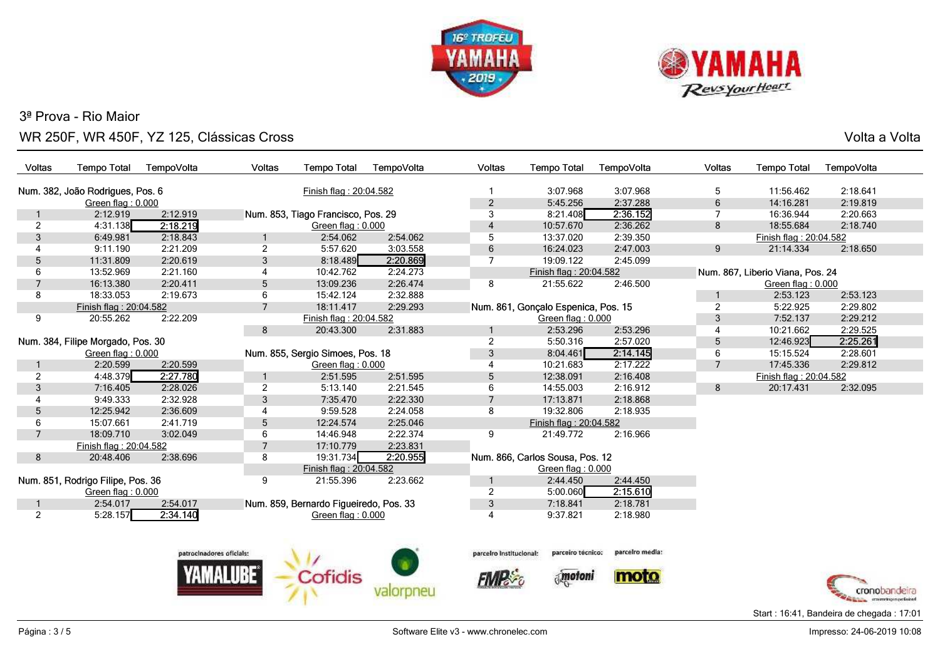



s and the state of the state of the state of the state of the state of the state  $\sim$  Volta a Volta  $\sim$ 

| Voltas                  | <b>Tempo Total</b>                | TempoVolta               | <b>Voltas</b>                    | <b>Tempo Total</b>                     | TempoVolta | Voltas                     | <b>Tempo Total</b>                  | TempoVolta      | <b>Voltas</b>     | <b>Tempo Total</b>               | TempoVolta                                    |
|-------------------------|-----------------------------------|--------------------------|----------------------------------|----------------------------------------|------------|----------------------------|-------------------------------------|-----------------|-------------------|----------------------------------|-----------------------------------------------|
|                         | Num. 382, João Rodrigues, Pos. 6  |                          |                                  | Finish flag: 20:04.582                 |            |                            | 3:07.968                            | 3:07.968        | 5                 | 11:56.462                        | 2:18.641                                      |
|                         | Green flag: 0.000                 |                          |                                  |                                        |            | $\overline{2}$             | 5:45.256                            | 2:37.288        | 6                 | 14:16.281                        | 2:19.819                                      |
|                         | 2:12.919                          | 2:12.919                 |                                  | Num. 853, Tiago Francisco, Pos. 29     |            | 3                          | 8:21.408                            | 2:36.152        | $\overline{7}$    | 16:36.944                        | 2:20.663                                      |
| 2                       | 4:31.138                          | 2:18.219                 |                                  | Green flag: 0.000                      |            | $\overline{4}$             | 10:57.670                           | 2:36.262        | 8                 | 18:55.684                        | 2:18.740                                      |
| 3                       | 6:49.981                          | 2:18.843                 | 1                                | 2:54.062                               | 2:54.062   | 5                          | 13:37.020                           | 2:39.350        |                   | Finish flag: 20:04.582           |                                               |
| $\overline{\mathbf{4}}$ | 9:11.190                          | 2:21.209                 | $\overline{2}$                   | 5:57.620                               | 3:03.558   | 6                          | 16:24.023                           | 2:47.003        | 9                 | 21:14.334                        | 2:18.650                                      |
| 5                       | 11:31.809                         | 2:20.619                 | $\mathfrak{Z}$                   | 8:18.489                               | 2:20.869   | $\overline{7}$             | 19:09.122                           | 2:45.099        |                   |                                  |                                               |
| 6                       | 13:52.969                         | 2:21.160                 | 4                                | 10:42.762                              | 2:24.273   |                            | Finish flag: 20:04.582              |                 |                   | Num. 867, Liberio Viana, Pos. 24 |                                               |
|                         | 16:13.380                         | 2:20.411                 | 5                                | 13:09.236                              | 2:26.474   | 8<br>21:55.622<br>2:46.500 |                                     |                 | Green flag: 0.000 |                                  |                                               |
| 8                       | 18:33.053                         | 2:19.673                 | 6                                | 15:42.124                              | 2:32.888   |                            |                                     |                 | -1                | 2:53.123                         | 2:53.123                                      |
|                         | Finish flag: 20:04.582            |                          | $\overline{7}$                   | 18:11.417                              | 2:29.293   |                            | Num. 861, Gonçalo Espenica, Pos. 15 |                 | $\overline{2}$    | 5:22.925                         | 2:29.802                                      |
| 9                       | 20:55.262                         | 2:22.209                 |                                  | Finish flag: 20:04.582                 |            |                            | Green flag: 0.000                   |                 | 3                 | 7:52.137                         | 2:29.212                                      |
|                         |                                   |                          | 8                                | 20:43.300                              | 2:31.883   |                            | 2:53.296                            | 2:53.296        | $\overline{4}$    | 10:21.662                        | 2:29.525                                      |
|                         | Num. 384, Filipe Morgado, Pos. 30 |                          |                                  |                                        |            | $\overline{2}$             | 5:50.316                            | 2:57.020        | 5                 | 12:46.923                        | 2:25.261                                      |
| Green flag: 0.000       |                                   |                          | Num. 855, Sergio Simoes, Pos. 18 |                                        | 3          | 8:04.461                   | 2:14.145                            | 6               | 15:15.524         | 2:28.601                         |                                               |
|                         | 2:20.599                          | 2:20.599                 |                                  | Green flag: 0.000                      |            | $\overline{4}$             | 10:21.683                           | 2:17.222        | $\overline{7}$    | 17:45.336                        | 2:29.812                                      |
| $\overline{2}$          | 4:48.379                          | 2:27.780                 | 1                                | 2:51.595                               | 2:51.595   | 5                          | 12:38.091                           | 2:16.408        |                   | Finish flag: 20:04.582           |                                               |
| 3                       | 7:16.405                          | 2:28.026                 | 2                                | 5:13.140                               | 2:21.545   | 6                          | 14:55.003                           | 2:16.912        | 8                 | 20:17.431                        | 2:32.095                                      |
| 4                       | 9:49.333                          | 2:32.928                 | 3                                | 7:35.470                               | 2:22.330   | $\overline{7}$             | 17:13.871                           | 2:18.868        |                   |                                  |                                               |
| 5                       | 12:25.942                         | 2:36.609                 |                                  | 9:59.528                               | 2:24.058   | 8                          | 19:32.806                           | 2:18.935        |                   |                                  |                                               |
| 6                       | 15:07.661                         | 2:41.719                 | 5                                | 12:24.574                              | 2:25.046   |                            | Finish flag: 20:04.582              |                 |                   |                                  |                                               |
| $\overline{7}$          | 18:09.710                         | 3:02.049                 | 6                                | 14:46.948                              | 2:22.374   | 9                          | 21:49.772                           | 2:16.966        |                   |                                  |                                               |
|                         | Finish flag: 20:04.582            |                          | $\overline{7}$                   | 17:10.779                              | 2:23.831   |                            |                                     |                 |                   |                                  |                                               |
| 8                       | 20:48.406                         | 2:38.696                 | 8                                | 19:31.734                              | 2:20.955   |                            | Num. 866, Carlos Sousa, Pos. 12     |                 |                   |                                  |                                               |
|                         |                                   |                          |                                  | Finish flag: 20:04.582                 |            |                            | Green flag: 0.000                   |                 |                   |                                  |                                               |
|                         | Num. 851, Rodrigo Filipe, Pos. 36 |                          | 9                                | 21:55.396                              | 2:23.662   | 1                          | 2:44.450                            | 2:44.450        |                   |                                  |                                               |
|                         | Green flag: 0.000                 |                          |                                  |                                        |            | $\overline{2}$             | 5:00.060                            | 2:15.610        |                   |                                  |                                               |
|                         | 2:54.017                          | 2:54.017                 |                                  | Num. 859, Bernardo Figueiredo, Pos. 33 |            | 3                          | 7:18.841                            | 2:18.781        |                   |                                  |                                               |
| 2                       | 5:28.157                          | 2:34.140                 |                                  | Green flag: $0.000$                    |            | 4                          | 9:37.821                            | 2:18.980        |                   |                                  |                                               |
|                         |                                   |                          |                                  |                                        |            |                            |                                     |                 |                   |                                  |                                               |
|                         |                                   | patrocinadores oficials: |                                  |                                        |            | parceiro Institucional:    | parceiro tecnico:                   | parcelro media: |                   |                                  |                                               |
|                         |                                   |                          |                                  | <b>Cofidis</b>                         |            |                            | motoni                              | moto            |                   |                                  |                                               |
|                         |                                   |                          |                                  |                                        |            |                            |                                     |                 |                   |                                  | cronobandeira<br>erneave trapers per finitest |

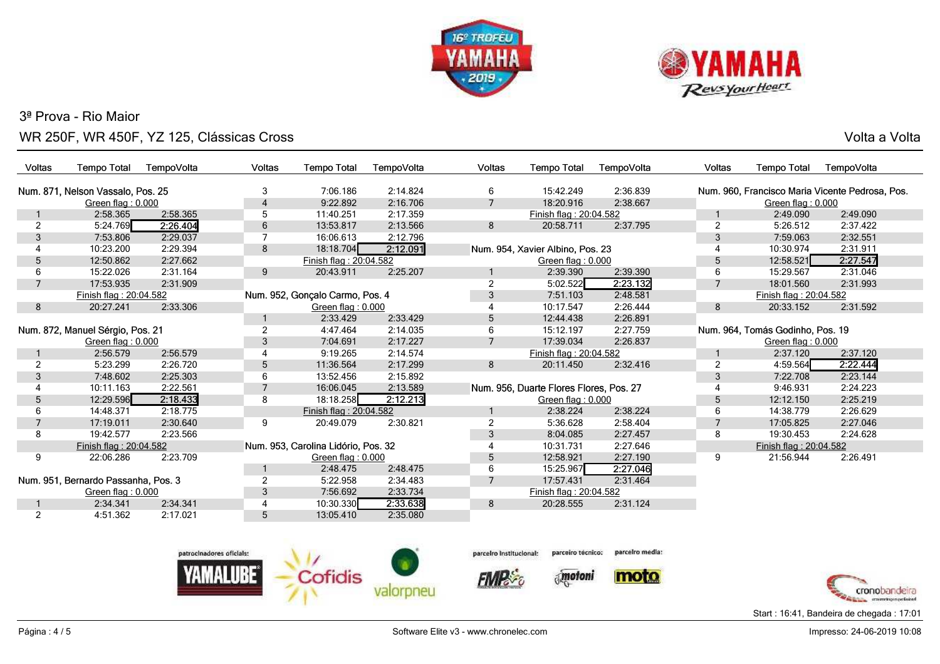



s and the state of the state of the state of the state of the state of the state  $\sim$  Volta a Volta  $\sim$ 

| <b>Voltas</b>                    | <b>Tempo Total</b>                  | TempoVolta     | Voltas                          | <b>Tempo Total</b>                  | TempoVolta     | <b>Voltas</b>     | <b>Tempo Total</b>                      | TempoVolta | Voltas                           | <b>Tempo Total</b>     | TempoVolta                                      |
|----------------------------------|-------------------------------------|----------------|---------------------------------|-------------------------------------|----------------|-------------------|-----------------------------------------|------------|----------------------------------|------------------------|-------------------------------------------------|
|                                  | Num. 871, Nelson Vassalo, Pos. 25   |                | 3                               | 7:06.186                            | 2:14.824       | 6                 | 15:42.249                               | 2:36.839   |                                  |                        | Num. 960, Francisco Maria Vicente Pedrosa, Pos. |
|                                  | Green flag: 0.000                   |                | 4                               | 9:22.892                            | 2:16.706       | $\overline{7}$    | 18:20.916                               | 2:38.667   |                                  | Green flag: 0.000      |                                                 |
|                                  | 2:58.365                            | 2:58.365       | 5                               | 11:40.251                           | 2:17.359       |                   | Finish flag: 20:04.582                  |            |                                  | 2:49.090               | 2:49.090                                        |
| $\overline{2}$                   | 5:24.769                            | 2:26.404       | 6                               | 13:53.817                           | 2:13.566       | 8                 | 20:58.711                               | 2:37.795   | $\overline{2}$                   | 5:26.512               | 2:37.422                                        |
| 3                                | 7:53.806                            | 2:29.037       | 7                               | 16:06.613                           | 2:12.796       |                   |                                         |            | 3                                | 7:59.063               | 2:32.551                                        |
| 4                                | 10:23.200                           | 2:29.394       | 8                               | 18:18.704                           | 2:12.091       |                   | Num. 954, Xavier Albino, Pos. 23        |            |                                  | 10:30.974              | 2:31.911                                        |
| 5                                | 12:50.862                           | 2:27.662       |                                 | Finish flag: 20:04.582              |                | Green flag: 0.000 |                                         |            | 5                                | 12:58.521              | 2:27.547                                        |
| 6                                | 15:22.026                           | 2:31.164       | 9                               | 20:43.911                           | 2:25.207       |                   | 2:39.390                                | 2:39.390   | 6                                | 15:29.567              | 2:31.046                                        |
| $\overline{7}$                   | 17:53.935                           | 2:31.909       |                                 |                                     |                | 2                 | 5:02.522                                | 2:23.132   | $\overline{7}$                   | 18:01.560              | 2:31.993                                        |
| Finish flag: 20:04.582           |                                     |                | Num. 952, Gonçalo Carmo, Pos. 4 |                                     |                | 7:51.103          | 2:48.581                                |            | Finish flag: 20:04.582           |                        |                                                 |
| 8                                | 20:27.241<br>2:33.306               |                |                                 | Green flag: 0.000                   |                | 3                 | 10:17.547                               | 2:26.444   | 8                                | 20:33.152              | 2:31.592                                        |
|                                  |                                     |                |                                 | 2:33.429                            | 2:33.429       | 5                 | 12:44.438                               | 2:26.891   |                                  |                        |                                                 |
| Num. 872, Manuel Sérgio, Pos. 21 |                                     | $\overline{2}$ | 4:47.464                        | 2:14.035                            | 6              | 15:12.197         | 2:27.759                                |            | Num. 964, Tomás Godinho, Pos. 19 |                        |                                                 |
| Green flag: 0.000                |                                     | 3              | 7:04.691                        | 2:17.227                            | $\overline{7}$ | 17:39.034         | 2:26.837                                |            | Green flag: 0.000                |                        |                                                 |
|                                  | 2:56.579                            | 2:56.579       | 4                               | 9:19.265                            | 2:14.574       |                   | Finish flag: 20:04.582                  |            |                                  | 2:37.120               | 2:37.120                                        |
| $\overline{2}$                   | 5:23.299                            | 2:26.720       | 5                               | 11:36.564                           | 2:17.299       | 8                 | 20:11.450                               | 2:32.416   | $\overline{2}$                   | 4:59.564               | 2:22.444                                        |
| 3                                | 7:48.602                            | 2:25.303       | 6                               | 13:52.456                           | 2:15.892       |                   |                                         |            | 3                                | 7:22.708               | 2:23.144                                        |
| 4                                | 10:11.163                           | 2:22.561       |                                 | 16:06.045                           | 2:13.589       |                   | Num. 956, Duarte Flores Flores, Pos. 27 |            | 4                                | 9:46.931               | 2:24.223                                        |
| 5                                | 12:29.596                           | 2:18.433       | 8                               | 18:18.258                           | 2:12.213       |                   | Green flag: 0.000                       |            | 5                                | 12:12.150              | 2:25.219                                        |
| 6                                | 14:48.371                           | 2:18.775       |                                 | Finish flag: 20:04.582              |                |                   | 2:38.224                                | 2:38.224   | 6                                | 14:38.779              | 2:26.629                                        |
|                                  | 17:19.011                           | 2:30.640       | 9                               | 20:49.079                           | 2:30.821       | $\overline{2}$    | 5:36.628                                | 2:58.404   | $\overline{7}$                   | 17:05.825              | 2:27.046                                        |
| 8                                | 19:42.577                           | 2:23.566       |                                 |                                     |                | 3                 | 8:04.085                                | 2:27.457   | 8                                | 19:30.453              | 2:24.628                                        |
|                                  | Finish flag: 20:04.582              |                |                                 | Num. 953, Carolina Lidório, Pos. 32 |                |                   | 10:31.731                               | 2:27.646   |                                  | Finish flag: 20:04.582 |                                                 |
| 9                                | 22:06.286                           | 2:23.709       |                                 | Green flag: 0.000                   |                | 5                 | 12:58.921                               | 2:27.190   | 9                                | 21:56.944              | 2:26.491                                        |
|                                  |                                     |                |                                 | 2:48.475                            | 2:48.475       | 6                 | 15:25.967                               | 2:27.046   |                                  |                        |                                                 |
|                                  | Num. 951, Bernardo Passanha, Pos. 3 |                | $\overline{2}$                  | 5:22.958                            | 2:34.483       |                   | 17:57.431                               | 2:31.464   |                                  |                        |                                                 |
|                                  | Green flag: 0.000                   |                | 3                               | 7:56.692                            | 2:33.734       |                   | Finish flag: 20:04.582                  |            |                                  |                        |                                                 |
|                                  | 2:34.341                            | 2:34.341       | 4                               | 10:30.330                           | 2:33.638       | 8                 | 20:28.555                               | 2:31.124   |                                  |                        |                                                 |
| 2                                | 4:51.362                            | 2:17.021       | 5                               | 13:05.410                           | 2:35.080       |                   |                                         |            |                                  |                        |                                                 |
|                                  |                                     |                |                                 |                                     |                |                   |                                         |            |                                  |                        |                                                 |
|                                  |                                     |                |                                 |                                     |                |                   |                                         |            |                                  |                        |                                                 |



parceiro técnico: parceiro Institucional:

**FIMP** 



parcelro media:





Start : 16:41, Bandeira de chegada : 17:01